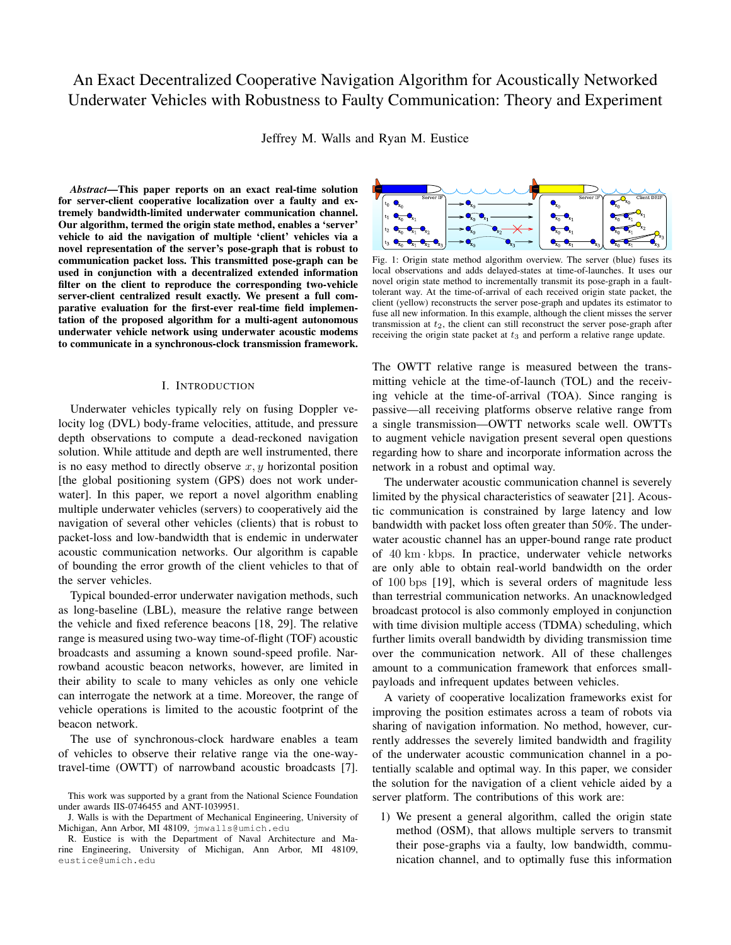# An Exact Decentralized Cooperative Navigation Algorithm for Acoustically Networked Underwater Vehicles with Robustness to Faulty Communication: Theory and Experiment

Jeffrey M. Walls and Ryan M. Eustice

*Abstract*—This paper reports on an exact real-time solution for server-client cooperative localization over a faulty and extremely bandwidth-limited underwater communication channel. Our algorithm, termed the origin state method, enables a 'server' vehicle to aid the navigation of multiple 'client' vehicles via a novel representation of the server's pose-graph that is robust to communication packet loss. This transmitted pose-graph can be used in conjunction with a decentralized extended information filter on the client to reproduce the corresponding two-vehicle server-client centralized result exactly. We present a full comparative evaluation for the first-ever real-time field implementation of the proposed algorithm for a multi-agent autonomous underwater vehicle network using underwater acoustic modems to communicate in a synchronous-clock transmission framework.

## I. INTRODUCTION

Underwater vehicles typically rely on fusing Doppler velocity log (DVL) body-frame velocities, attitude, and pressure depth observations to compute a dead-reckoned navigation solution. While attitude and depth are well instrumented, there is no easy method to directly observe  $x, y$  horizontal position [the global positioning system (GPS) does not work underwater]. In this paper, we report a novel algorithm enabling multiple underwater vehicles (servers) to cooperatively aid the navigation of several other vehicles (clients) that is robust to packet-loss and low-bandwidth that is endemic in underwater acoustic communication networks. Our algorithm is capable of bounding the error growth of the client vehicles to that of the server vehicles.

Typical bounded-error underwater navigation methods, such as long-baseline (LBL), measure the relative range between the vehicle and fixed reference beacons [18, 29]. The relative range is measured using two-way time-of-flight (TOF) acoustic broadcasts and assuming a known sound-speed profile. Narrowband acoustic beacon networks, however, are limited in their ability to scale to many vehicles as only one vehicle can interrogate the network at a time. Moreover, the range of vehicle operations is limited to the acoustic footprint of the beacon network.

The use of synchronous-clock hardware enables a team of vehicles to observe their relative range via the one-waytravel-time (OWTT) of narrowband acoustic broadcasts [7].



Fig. 1: Origin state method algorithm overview. The server (blue) fuses its local observations and adds delayed-states at time-of-launches. It uses our novel origin state method to incrementally transmit its pose-graph in a faulttolerant way. At the time-of-arrival of each received origin state packet, the client (yellow) reconstructs the server pose-graph and updates its estimator to fuse all new information. In this example, although the client misses the server transmission at  $t_2$ , the client can still reconstruct the server pose-graph after receiving the origin state packet at  $t_3$  and perform a relative range update.

The OWTT relative range is measured between the transmitting vehicle at the time-of-launch (TOL) and the receiving vehicle at the time-of-arrival (TOA). Since ranging is passive—all receiving platforms observe relative range from a single transmission—OWTT networks scale well. OWTTs to augment vehicle navigation present several open questions regarding how to share and incorporate information across the network in a robust and optimal way.

The underwater acoustic communication channel is severely limited by the physical characteristics of seawater [21]. Acoustic communication is constrained by large latency and low bandwidth with packet loss often greater than 50%. The underwater acoustic channel has an upper-bound range rate product of  $40 \text{ km} \cdot \text{kbps}$ . In practice, underwater vehicle networks are only able to obtain real-world bandwidth on the order of 100 bps [19], which is several orders of magnitude less than terrestrial communication networks. An unacknowledged broadcast protocol is also commonly employed in conjunction with time division multiple access (TDMA) scheduling, which further limits overall bandwidth by dividing transmission time over the communication network. All of these challenges amount to a communication framework that enforces smallpayloads and infrequent updates between vehicles.

A variety of cooperative localization frameworks exist for improving the position estimates across a team of robots via sharing of navigation information. No method, however, currently addresses the severely limited bandwidth and fragility of the underwater acoustic communication channel in a potentially scalable and optimal way. In this paper, we consider the solution for the navigation of a client vehicle aided by a server platform. The contributions of this work are:

1) We present a general algorithm, called the origin state method (OSM), that allows multiple servers to transmit their pose-graphs via a faulty, low bandwidth, communication channel, and to optimally fuse this information

This work was supported by a grant from the National Science Foundation under awards IIS-0746455 and ANT-1039951.

J. Walls is with the Department of Mechanical Engineering, University of Michigan, Ann Arbor, MI 48109, jmwalls@umich.edu

R. Eustice is with the Department of Naval Architecture and Marine Engineering, University of Michigan, Ann Arbor, MI 48109, eustice@umich.edu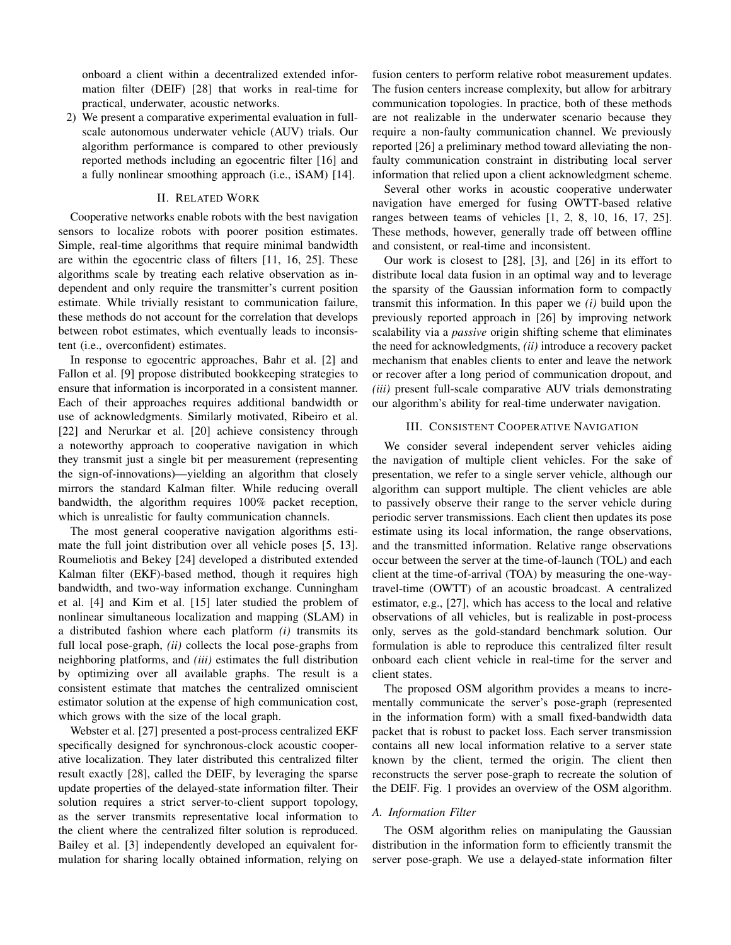onboard a client within a decentralized extended information filter (DEIF) [28] that works in real-time for practical, underwater, acoustic networks.

2) We present a comparative experimental evaluation in fullscale autonomous underwater vehicle (AUV) trials. Our algorithm performance is compared to other previously reported methods including an egocentric filter [16] and a fully nonlinear smoothing approach (i.e., iSAM) [14].

# II. RELATED WORK

Cooperative networks enable robots with the best navigation sensors to localize robots with poorer position estimates. Simple, real-time algorithms that require minimal bandwidth are within the egocentric class of filters [11, 16, 25]. These algorithms scale by treating each relative observation as independent and only require the transmitter's current position estimate. While trivially resistant to communication failure, these methods do not account for the correlation that develops between robot estimates, which eventually leads to inconsistent (i.e., overconfident) estimates.

In response to egocentric approaches, Bahr et al. [2] and Fallon et al. [9] propose distributed bookkeeping strategies to ensure that information is incorporated in a consistent manner. Each of their approaches requires additional bandwidth or use of acknowledgments. Similarly motivated, Ribeiro et al. [22] and Nerurkar et al. [20] achieve consistency through a noteworthy approach to cooperative navigation in which they transmit just a single bit per measurement (representing the sign-of-innovations)—yielding an algorithm that closely mirrors the standard Kalman filter. While reducing overall bandwidth, the algorithm requires 100% packet reception, which is unrealistic for faulty communication channels.

The most general cooperative navigation algorithms estimate the full joint distribution over all vehicle poses [5, 13]. Roumeliotis and Bekey [24] developed a distributed extended Kalman filter (EKF)-based method, though it requires high bandwidth, and two-way information exchange. Cunningham et al. [4] and Kim et al. [15] later studied the problem of nonlinear simultaneous localization and mapping (SLAM) in a distributed fashion where each platform *(i)* transmits its full local pose-graph, *(ii)* collects the local pose-graphs from neighboring platforms, and *(iii)* estimates the full distribution by optimizing over all available graphs. The result is a consistent estimate that matches the centralized omniscient estimator solution at the expense of high communication cost, which grows with the size of the local graph.

Webster et al. [27] presented a post-process centralized EKF specifically designed for synchronous-clock acoustic cooperative localization. They later distributed this centralized filter result exactly [28], called the DEIF, by leveraging the sparse update properties of the delayed-state information filter. Their solution requires a strict server-to-client support topology, as the server transmits representative local information to the client where the centralized filter solution is reproduced. Bailey et al. [3] independently developed an equivalent formulation for sharing locally obtained information, relying on fusion centers to perform relative robot measurement updates. The fusion centers increase complexity, but allow for arbitrary communication topologies. In practice, both of these methods are not realizable in the underwater scenario because they require a non-faulty communication channel. We previously reported [26] a preliminary method toward alleviating the nonfaulty communication constraint in distributing local server information that relied upon a client acknowledgment scheme.

Several other works in acoustic cooperative underwater navigation have emerged for fusing OWTT-based relative ranges between teams of vehicles [1, 2, 8, 10, 16, 17, 25]. These methods, however, generally trade off between offline and consistent, or real-time and inconsistent.

Our work is closest to [28], [3], and [26] in its effort to distribute local data fusion in an optimal way and to leverage the sparsity of the Gaussian information form to compactly transmit this information. In this paper we *(i)* build upon the previously reported approach in [26] by improving network scalability via a *passive* origin shifting scheme that eliminates the need for acknowledgments, *(ii)* introduce a recovery packet mechanism that enables clients to enter and leave the network or recover after a long period of communication dropout, and *(iii)* present full-scale comparative AUV trials demonstrating our algorithm's ability for real-time underwater navigation.

## III. CONSISTENT COOPERATIVE NAVIGATION

We consider several independent server vehicles aiding the navigation of multiple client vehicles. For the sake of presentation, we refer to a single server vehicle, although our algorithm can support multiple. The client vehicles are able to passively observe their range to the server vehicle during periodic server transmissions. Each client then updates its pose estimate using its local information, the range observations, and the transmitted information. Relative range observations occur between the server at the time-of-launch (TOL) and each client at the time-of-arrival (TOA) by measuring the one-waytravel-time (OWTT) of an acoustic broadcast. A centralized estimator, e.g., [27], which has access to the local and relative observations of all vehicles, but is realizable in post-process only, serves as the gold-standard benchmark solution. Our formulation is able to reproduce this centralized filter result onboard each client vehicle in real-time for the server and client states.

The proposed OSM algorithm provides a means to incrementally communicate the server's pose-graph (represented in the information form) with a small fixed-bandwidth data packet that is robust to packet loss. Each server transmission contains all new local information relative to a server state known by the client, termed the origin. The client then reconstructs the server pose-graph to recreate the solution of the DEIF. Fig. 1 provides an overview of the OSM algorithm.

# *A. Information Filter*

The OSM algorithm relies on manipulating the Gaussian distribution in the information form to efficiently transmit the server pose-graph. We use a delayed-state information filter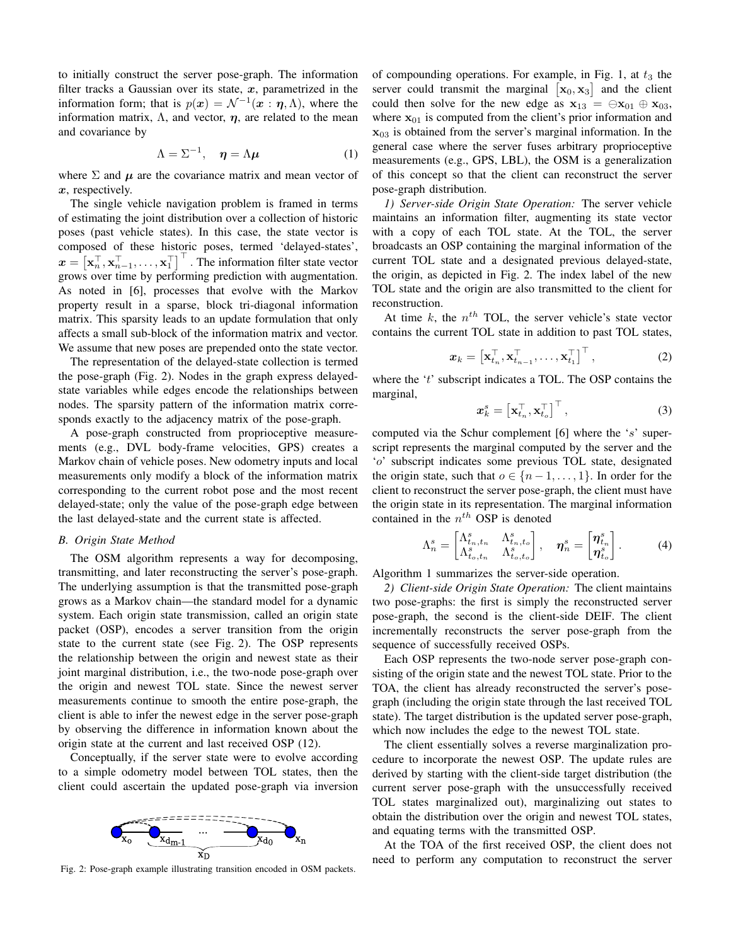to initially construct the server pose-graph. The information filter tracks a Gaussian over its state,  $x$ , parametrized in the information form; that is  $p(x) = \mathcal{N}^{-1}(x : \eta, \Lambda)$ , where the information matrix,  $\Lambda$ , and vector,  $\eta$ , are related to the mean and covariance by

$$
\Lambda = \Sigma^{-1}, \quad \eta = \Lambda \mu \tag{1}
$$

where  $\Sigma$  and  $\mu$  are the covariance matrix and mean vector of x, respectively.

The single vehicle navigation problem is framed in terms of estimating the joint distribution over a collection of historic poses (past vehicle states). In this case, the state vector is composed of these historic poses, termed 'delayed-states',  $\boldsymbol{x} = \left[\mathbf{x}_n^\top, \mathbf{x}_{n-1}^\top, \dots, \mathbf{x}_1^\top\right]^\top$ . The information filter state vector grows over time by performing prediction with augmentation. As noted in [6], processes that evolve with the Markov property result in a sparse, block tri-diagonal information matrix. This sparsity leads to an update formulation that only affects a small sub-block of the information matrix and vector. We assume that new poses are prepended onto the state vector.

The representation of the delayed-state collection is termed the pose-graph (Fig. 2). Nodes in the graph express delayedstate variables while edges encode the relationships between nodes. The sparsity pattern of the information matrix corresponds exactly to the adjacency matrix of the pose-graph.

A pose-graph constructed from proprioceptive measurements (e.g., DVL body-frame velocities, GPS) creates a Markov chain of vehicle poses. New odometry inputs and local measurements only modify a block of the information matrix corresponding to the current robot pose and the most recent delayed-state; only the value of the pose-graph edge between the last delayed-state and the current state is affected.

#### *B. Origin State Method*

The OSM algorithm represents a way for decomposing, transmitting, and later reconstructing the server's pose-graph. The underlying assumption is that the transmitted pose-graph grows as a Markov chain—the standard model for a dynamic system. Each origin state transmission, called an origin state packet (OSP), encodes a server transition from the origin state to the current state (see Fig. 2). The OSP represents the relationship between the origin and newest state as their joint marginal distribution, i.e., the two-node pose-graph over the origin and newest TOL state. Since the newest server measurements continue to smooth the entire pose-graph, the client is able to infer the newest edge in the server pose-graph by observing the difference in information known about the origin state at the current and last received OSP (12).

Conceptually, if the server state were to evolve according to a simple odometry model between TOL states, then the client could ascertain the updated pose-graph via inversion



Fig. 2: Pose-graph example illustrating transition encoded in OSM packets.

of compounding operations. For example, in Fig. 1, at  $t_3$  the server could transmit the marginal  $\left[x_0, x_3\right]$  and the client could then solve for the new edge as  $x_{13} = \Theta x_{01} \oplus x_{03}$ , where  $x_{01}$  is computed from the client's prior information and  $x_{03}$  is obtained from the server's marginal information. In the general case where the server fuses arbitrary proprioceptive measurements (e.g., GPS, LBL), the OSM is a generalization of this concept so that the client can reconstruct the server pose-graph distribution.

*1) Server-side Origin State Operation:* The server vehicle maintains an information filter, augmenting its state vector with a copy of each TOL state. At the TOL, the server broadcasts an OSP containing the marginal information of the current TOL state and a designated previous delayed-state, the origin, as depicted in Fig. 2. The index label of the new TOL state and the origin are also transmitted to the client for reconstruction.

At time  $k$ , the  $n<sup>th</sup>$  TOL, the server vehicle's state vector contains the current TOL state in addition to past TOL states,

$$
\boldsymbol{x}_k = \left[\mathbf{x}_{t_n}^{\top}, \mathbf{x}_{t_{n-1}}^{\top}, \ldots, \mathbf{x}_{t_1}^{\top}\right]^{\top},\tag{2}
$$

where the 't' subscript indicates a TOL. The OSP contains the marginal,

$$
\boldsymbol{x}_{k}^{s} = \left[\mathbf{x}_{t_{n}}^{\top}, \mathbf{x}_{t_{o}}^{\top}\right]^{\top},\tag{3}
$$

computed via the Schur complement [6] where the 's' superscript represents the marginal computed by the server and the 'o' subscript indicates some previous TOL state, designated the origin state, such that  $o \in \{n-1, \ldots, 1\}$ . In order for the client to reconstruct the server pose-graph, the client must have the origin state in its representation. The marginal information contained in the  $n^{th}$  OSP is denoted

$$
\Lambda_n^s = \begin{bmatrix} \Lambda_{t_n,t_n}^s & \Lambda_{t_n,t_o}^s \\ \Lambda_{t_o,t_n}^s & \Lambda_{t_o,t_o}^s \end{bmatrix}, \quad \eta_n^s = \begin{bmatrix} \eta_{t_n}^s \\ \eta_{t_o}^s \end{bmatrix}.
$$
 (4)

Algorithm 1 summarizes the server-side operation.

*2) Client-side Origin State Operation:* The client maintains two pose-graphs: the first is simply the reconstructed server pose-graph, the second is the client-side DEIF. The client incrementally reconstructs the server pose-graph from the sequence of successfully received OSPs.

Each OSP represents the two-node server pose-graph consisting of the origin state and the newest TOL state. Prior to the TOA, the client has already reconstructed the server's posegraph (including the origin state through the last received TOL state). The target distribution is the updated server pose-graph, which now includes the edge to the newest TOL state.

The client essentially solves a reverse marginalization procedure to incorporate the newest OSP. The update rules are derived by starting with the client-side target distribution (the current server pose-graph with the unsuccessfully received TOL states marginalized out), marginalizing out states to obtain the distribution over the origin and newest TOL states, and equating terms with the transmitted OSP.

At the TOA of the first received OSP, the client does not need to perform any computation to reconstruct the server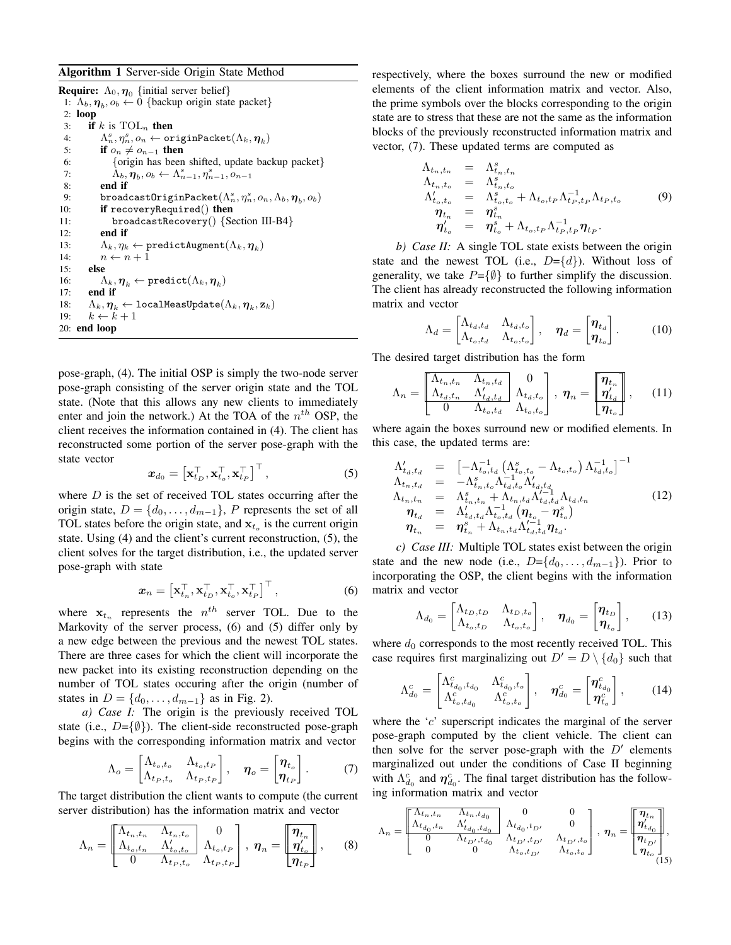## Algorithm 1 Server-side Origin State Method

|           | <b>Require:</b> $\Lambda_0, \eta_0$ {initial server belief}                                                     |
|-----------|-----------------------------------------------------------------------------------------------------------------|
|           | 1: $\Lambda_b, \eta_b, o_b \leftarrow 0$ {backup origin state packet}                                           |
| $2:$ loop |                                                                                                                 |
| 3:        | if k is $TOL_n$ then                                                                                            |
| 4:        | $(\Lambda_n^s, \eta_n^s, o_n \leftarrow \texttt{originPacket}(\Lambda_k, \boldsymbol{\eta}_k)$                  |
| 5:        | if $o_n \neq o_{n-1}$ then                                                                                      |
| 6:        | {origin has been shifted, update backup packet}                                                                 |
| 7:        | $\Lambda_b, \eta_b, o_b \leftarrow \Lambda_{n-1}^s, \eta_{n-1}^s, o_{n-1}$                                      |
| 8:        | end if                                                                                                          |
| 9:        | broadcast0riginPacket $(\Lambda_n^s, \eta_n^s, o_n, \Lambda_b, \eta_h, o_b)$                                    |
| 10:       | if recoveryRequired() then                                                                                      |
| 11:       | $broadcast Recovery()$ {Section III-B4}                                                                         |
| 12:       | end if                                                                                                          |
| 13:       | $\Lambda_k, \eta_k \leftarrow \texttt{predictAugment}(\Lambda_k, \boldsymbol{\eta}_k)$                          |
| 14:       | $n \leftarrow n + 1$                                                                                            |
| 15:       | else                                                                                                            |
| 16:       | $(\Lambda_k, \boldsymbol{\eta}_k \leftarrow \texttt{predict}(\Lambda_k, \boldsymbol{\eta}_k)$                   |
| 17:       | end if                                                                                                          |
| 18:       | $\Lambda_k, \boldsymbol{\eta}_k \leftarrow \texttt{localMeasure}(\Lambda_k, \boldsymbol{\eta}_k, \mathbf{z}_k)$ |
| 19:       | $k \leftarrow k + 1$                                                                                            |
|           | $20:$ end loop                                                                                                  |

pose-graph, (4). The initial OSP is simply the two-node server pose-graph consisting of the server origin state and the TOL state. (Note that this allows any new clients to immediately enter and join the network.) At the TOA of the  $n^{th}$  OSP, the client receives the information contained in (4). The client has reconstructed some portion of the server pose-graph with the state vector

$$
\boldsymbol{x}_{d_0} = \left[ \mathbf{x}_{t_D}^\top, \mathbf{x}_{t_o}^\top, \mathbf{x}_{t_P}^\top \right]^\top, \tag{5}
$$

where  $D$  is the set of received TOL states occurring after the origin state,  $D = \{d_0, \ldots, d_{m-1}\}, P$  represents the set of all TOL states before the origin state, and  $x_{t_o}$  is the current origin state. Using (4) and the client's current reconstruction, (5), the client solves for the target distribution, i.e., the updated server pose-graph with state

$$
\boldsymbol{x}_n = \left[ \mathbf{x}_{t_n}^\top, \mathbf{x}_{t_D}^\top, \mathbf{x}_{t_o}^\top, \mathbf{x}_{t_P}^\top \right]^\top, \tag{6}
$$

where  $x_{t_n}$  represents the  $n^{th}$  server TOL. Due to the Markovity of the server process, (6) and (5) differ only by a new edge between the previous and the newest TOL states. There are three cases for which the client will incorporate the new packet into its existing reconstruction depending on the number of TOL states occuring after the origin (number of states in  $D = \{d_0, \ldots, d_{m-1}\}\$ as in Fig. 2).

*a) Case I:* The origin is the previously received TOL state (i.e.,  $D=\{\emptyset\}$ ). The client-side reconstructed pose-graph begins with the corresponding information matrix and vector

$$
\Lambda_o = \begin{bmatrix} \Lambda_{t_o, t_o} & \Lambda_{t_o, t_P} \\ \Lambda_{t_P, t_o} & \Lambda_{t_P, t_P} \end{bmatrix}, \quad \eta_o = \begin{bmatrix} \eta_{t_o} \\ \eta_{t_P} \end{bmatrix}.
$$
 (7)

The target distribution the client wants to compute (the current server distribution) has the information matrix and vector

$$
\Lambda_n = \begin{bmatrix} \Lambda_{t_n, t_n} & \Lambda_{t_n, t_o} & 0\\ \Lambda_{t_o, t_n} & \Lambda_{t_o, t_o} & \Lambda_{t_o, t_P} \\ 0 & \Lambda_{t_P, t_o} & \Lambda_{t_P, t_P} \end{bmatrix}, \ \boldsymbol{\eta}_n = \begin{bmatrix} \boldsymbol{\eta}_{t_n} \\ \boldsymbol{\eta}_{t_o}^{\prime} \\ \boldsymbol{\eta}_{t_P} \end{bmatrix}, \qquad (8)
$$

respectively, where the boxes surround the new or modified elements of the client information matrix and vector. Also, the prime symbols over the blocks corresponding to the origin state are to stress that these are not the same as the information blocks of the previously reconstructed information matrix and vector, (7). These updated terms are computed as

$$
\Lambda_{t_n,t_n} = \Lambda_{t_n,t_n}^s
$$
\n
$$
\Lambda_{t_n,t_o} = \Lambda_{t_n,t_o}^s
$$
\n
$$
\Lambda_{t_o,t_o}^{\prime} = \Lambda_{t_o,t_o}^s + \Lambda_{t_o,t_P} \Lambda_{t_P,t_P}^{-1} \Lambda_{t_P,t_o}
$$
\n
$$
\eta_{t_n} = \eta_{t_n}^s
$$
\n
$$
\eta_{t_o}^{\prime} = \eta_{t_o}^s + \Lambda_{t_o,t_P} \Lambda_{t_P,t_P}^{-1} \eta_{t_P}.
$$
\n(9)

*b) Case II:* A single TOL state exists between the origin state and the newest TOL (i.e.,  $D = \{d\}$ ). Without loss of generality, we take  $P = \{ \emptyset \}$  to further simplify the discussion. The client has already reconstructed the following information matrix and vector

$$
\Lambda_d = \begin{bmatrix} \Lambda_{t_d, t_d} & \Lambda_{t_d, t_o} \\ \Lambda_{t_o, t_d} & \Lambda_{t_o, t_o} \end{bmatrix}, \quad \boldsymbol{\eta}_d = \begin{bmatrix} \boldsymbol{\eta}_{t_d} \\ \boldsymbol{\eta}_{t_o} \end{bmatrix}.
$$
 (10)

The desired target distribution has the form

$$
\Lambda_n = \begin{bmatrix} \Lambda_{t_n, t_n} & \Lambda_{t_n, t_d} & 0\\ \Lambda_{t_d, t_n} & \Lambda'_{t_d, t_d} & \Lambda_{t_d, t_o} \\ 0 & \Lambda_{t_o, t_d} & \Lambda_{t_o, t_o} \end{bmatrix}, \quad \eta_n = \begin{bmatrix} \eta_{t_n} \\ \eta'_{t_d} \\ \eta_{t_d} \end{bmatrix}, \quad (11)
$$

where again the boxes surround new or modified elements. In this case, the updated terms are:

$$
\Lambda_{t_a,t_a}^{\prime} = \left[ -\Lambda_{t_o,t_d}^{-1} \left( \Lambda_{t_o,t_o}^{s} - \Lambda_{t_o,t_o} \right) \Lambda_{t_d,t_o}^{-1} \right]^{-1} \n\Lambda_{t_n,t_a}^{\prime} = -\Lambda_{t_n,t_o}^{s} \Lambda_{t_d,t_o}^{-1} \Lambda_{t_d,t_d}^{\prime -1} \n\Lambda_{t_n,t_n}^{\prime} = \Lambda_{t_n,t_n}^{s} + \Lambda_{t_n,t_d} \Lambda_{t_d,t_d}^{\prime -1} \Lambda_{t_a,t_n} \n\eta_{t_a} = \Lambda_{t_d,t_d}^{\prime} \Lambda_{t_o,t_d}^{-1} \left( \eta_{t_o} - \eta_{t_o}^{s} \right) \n\eta_{t_n} = \eta_{t_n}^{s} + \Lambda_{t_n,t_d} \Lambda_{t_d,t_d}^{\prime -1} \eta_{t_a}.
$$
\n(12)

*c) Case III:* Multiple TOL states exist between the origin state and the new node (i.e.,  $D = \{d_0, \ldots, d_{m-1}\}\)$ . Prior to incorporating the OSP, the client begins with the information matrix and vector

$$
\Lambda_{d_0} = \begin{bmatrix} \Lambda_{t_D, t_D} & \Lambda_{t_D, t_o} \\ \Lambda_{t_o, t_D} & \Lambda_{t_o, t_o} \end{bmatrix}, \quad \eta_{d_0} = \begin{bmatrix} \eta_{t_D} \\ \eta_{t_o} \end{bmatrix}, \qquad (13)
$$

where  $d_0$  corresponds to the most recently received TOL. This case requires first marginalizing out  $D' = D \setminus \{d_0\}$  such that

$$
\Lambda_{d_0}^c = \begin{bmatrix} \Lambda_{t_{d_0}, t_{d_0}}^c & \Lambda_{t_{d_0}, t_o}^c \\ \Lambda_{t_o, t_{d_0}}^c & \Lambda_{t_o, t_o}^c \end{bmatrix}, \quad \eta_{d_0}^c = \begin{bmatrix} \eta_{t_{d_0}}^c \\ \eta_{t_o}^c \end{bmatrix}, \tag{14}
$$

where the  $c<sup>3</sup>$  superscript indicates the marginal of the server pose-graph computed by the client vehicle. The client can then solve for the server pose-graph with the  $D'$  elements marginalized out under the conditions of Case II beginning with  $\Lambda_{d_0}^c$  and  $\eta_{d_0}^c$ . The final target distribution has the following information matrix and vector

$$
\Lambda_n = \begin{bmatrix} \Lambda_{t_n, t_n} & \Lambda_{t_n, t_{d_0}} & 0 & 0 \\ \frac{\Lambda_{t_{d_0}, t_n} & \Lambda'_{t_{d_0}, t_{d_0}}}{0} & \Lambda_{t_{d_0}, t_{D'}} & 0 \\ 0 & \Lambda_{t_{D'}, t_{d_0}} & \Lambda_{t_{D'}, t_{D'}} & \Lambda_{t_{D'}, t_{D}} \\ 0 & 0 & \Lambda_{t_o, t_{D'}} & \Lambda_{t_o, t_o} \end{bmatrix}, \eta_n = \begin{bmatrix} \eta_{t_n} \\ \eta'_{t_{d_0}} \\ \eta_{t_{D'}} \\ \eta_{t_o} \\ \eta_{t_o} \\ 15 \end{bmatrix},
$$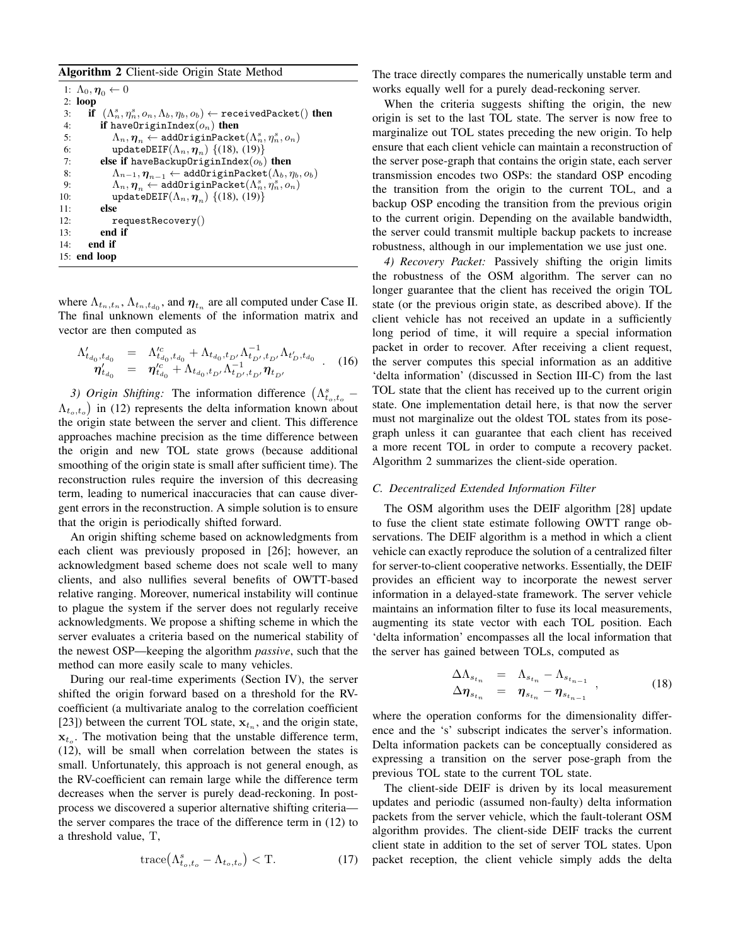## Algorithm 2 Client-side Origin State Method

```
1: \Lambda_0, \eta_0 \leftarrow 02: loop
  3: if (\Lambda_n^s, \eta_n^s, o_n, \Lambda_b, \eta_b, o_b) \leftarrow \texttt{receivedPacket}() then
 4: if haveOriginIndex(o_n) then
  5: \Lambda_n, \eta_n \leftarrow \text{addOriginPacket}(\Lambda_n^s, \eta_n^s, o_n)6: updateDEIF(\Lambda_n, \eta_n) {(18), (19)}<br>7. else if haveBackup0riginIndex(\alpha_n)
             else if haveBackupOriginIndex(o_b) then
 8: \Lambda_{n-1}, \eta_{n-1} \leftarrow \text{addOriginPacket}(\Lambda_b, \eta_b, o_b)<br>9: \Lambda_n, n \leftarrow \text{addOriginPacket}(\Lambda_s^s, n_s^s, o_n)9: \Lambda_n, \eta_n \leftarrow addOriginPacket(\Lambda_n^s, \eta_n^s, o_n)10: updateDEIF(\Lambda_n, \eta_n) {(18), (19)}<br>11: else
             else
12: requestRecovery()
13: end if
14: end if
15: end loop
```
where  $\Lambda_{t_n,t_n}, \Lambda_{t_n,t_{d_0}},$  and  $\boldsymbol{\eta}_{t_n}$  are all computed under Case II. The final unknown elements of the information matrix and vector are then computed as

$$
\begin{array}{rcl}\n\Lambda'_{t_{d_0},t_{d_0}} &=& \Lambda'^{c}_{t_{d_0},t_{d_0}} + \Lambda_{t_{d_0},t_{D'}} \Lambda^{-1}_{t_{D'},t_{D'}} \Lambda_{t'_{D}}, t_{d_0} \\
\eta'_{t_{d_0}} &=& \eta'^{c}_{t_{d_0}} + \Lambda_{t_{d_0},t_{D'}} \Lambda^{-1}_{t_{D'},t_{D'}} \eta_{t_{D'}}\n\end{array} .\n\tag{16}
$$

3) Origin Shifting: The information difference  $(\Lambda_{t_o,t_o}^s \Lambda_{t_o,t_o}$ ) in (12) represents the delta information known about the origin state between the server and client. This difference approaches machine precision as the time difference between the origin and new TOL state grows (because additional smoothing of the origin state is small after sufficient time). The reconstruction rules require the inversion of this decreasing term, leading to numerical inaccuracies that can cause divergent errors in the reconstruction. A simple solution is to ensure that the origin is periodically shifted forward.

An origin shifting scheme based on acknowledgments from each client was previously proposed in [26]; however, an acknowledgment based scheme does not scale well to many clients, and also nullifies several benefits of OWTT-based relative ranging. Moreover, numerical instability will continue to plague the system if the server does not regularly receive acknowledgments. We propose a shifting scheme in which the server evaluates a criteria based on the numerical stability of the newest OSP—keeping the algorithm *passive*, such that the method can more easily scale to many vehicles.

During our real-time experiments (Section IV), the server shifted the origin forward based on a threshold for the RVcoefficient (a multivariate analog to the correlation coefficient [23]) between the current TOL state,  $x_{t_n}$ , and the origin state,  $x_{t_o}$ . The motivation being that the unstable difference term, (12), will be small when correlation between the states is small. Unfortunately, this approach is not general enough, as the RV-coefficient can remain large while the difference term decreases when the server is purely dead-reckoning. In postprocess we discovered a superior alternative shifting criteria the server compares the trace of the difference term in (12) to a threshold value, T,

$$
trace(\Lambda_{t_o,t_o}^s - \Lambda_{t_o,t_o}) < T. \tag{17}
$$

The trace directly compares the numerically unstable term and works equally well for a purely dead-reckoning server.

When the criteria suggests shifting the origin, the new origin is set to the last TOL state. The server is now free to marginalize out TOL states preceding the new origin. To help ensure that each client vehicle can maintain a reconstruction of the server pose-graph that contains the origin state, each server transmission encodes two OSPs: the standard OSP encoding the transition from the origin to the current TOL, and a backup OSP encoding the transition from the previous origin to the current origin. Depending on the available bandwidth, the server could transmit multiple backup packets to increase robustness, although in our implementation we use just one.

*4) Recovery Packet:* Passively shifting the origin limits the robustness of the OSM algorithm. The server can no longer guarantee that the client has received the origin TOL state (or the previous origin state, as described above). If the client vehicle has not received an update in a sufficiently long period of time, it will require a special information packet in order to recover. After receiving a client request, the server computes this special information as an additive 'delta information' (discussed in Section III-C) from the last TOL state that the client has received up to the current origin state. One implementation detail here, is that now the server must not marginalize out the oldest TOL states from its posegraph unless it can guarantee that each client has received a more recent TOL in order to compute a recovery packet. Algorithm 2 summarizes the client-side operation.

## *C. Decentralized Extended Information Filter*

The OSM algorithm uses the DEIF algorithm [28] update to fuse the client state estimate following OWTT range observations. The DEIF algorithm is a method in which a client vehicle can exactly reproduce the solution of a centralized filter for server-to-client cooperative networks. Essentially, the DEIF provides an efficient way to incorporate the newest server information in a delayed-state framework. The server vehicle maintains an information filter to fuse its local measurements, augmenting its state vector with each TOL position. Each 'delta information' encompasses all the local information that the server has gained between TOLs, computed as

$$
\begin{array}{rcl}\n\Delta\Lambda_{s_{t_n}} &=& \Lambda_{s_{t_n}} - \Lambda_{s_{t_{n-1}}} \\
\Delta\eta_{s_{t_n}} &=& \eta_{s_{t_n}} - \eta_{s_{t_{n-1}}}\n\end{array} \tag{18}
$$

where the operation conforms for the dimensionality difference and the 's' subscript indicates the server's information. Delta information packets can be conceptually considered as expressing a transition on the server pose-graph from the previous TOL state to the current TOL state.

The client-side DEIF is driven by its local measurement updates and periodic (assumed non-faulty) delta information packets from the server vehicle, which the fault-tolerant OSM algorithm provides. The client-side DEIF tracks the current client state in addition to the set of server TOL states. Upon packet reception, the client vehicle simply adds the delta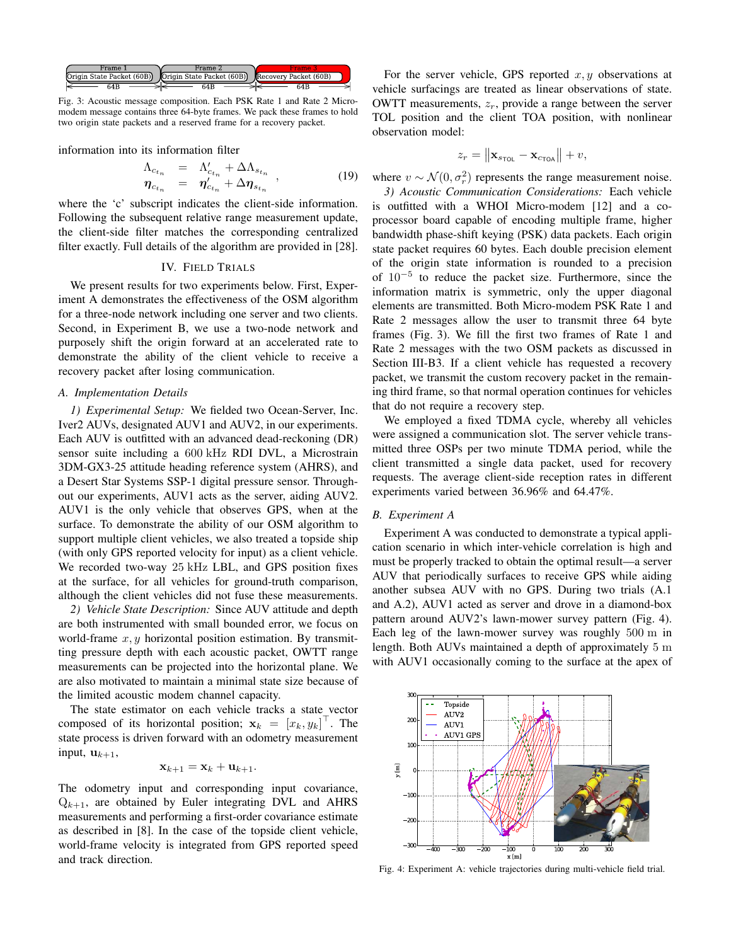

Fig. 3: Acoustic message composition. Each PSK Rate 1 and Rate 2 Micromodem message contains three 64-byte frames. We pack these frames to hold two origin state packets and a reserved frame for a recovery packet.

information into its information filter

$$
\begin{array}{rcl}\n\Lambda_{c_{t_n}} & = & \Lambda'_{c_{t_n}} + \Delta \Lambda_{s_{t_n}} \\
\eta_{c_{t_n}} & = & \eta'_{c_{t_n}} + \Delta \eta_{s_{t_n}}\n\end{array} \tag{19}
$$

where the 'c' subscript indicates the client-side information. Following the subsequent relative range measurement update, the client-side filter matches the corresponding centralized filter exactly. Full details of the algorithm are provided in [28].

## IV. FIELD TRIALS

We present results for two experiments below. First, Experiment A demonstrates the effectiveness of the OSM algorithm for a three-node network including one server and two clients. Second, in Experiment B, we use a two-node network and purposely shift the origin forward at an accelerated rate to demonstrate the ability of the client vehicle to receive a recovery packet after losing communication.

#### *A. Implementation Details*

*1) Experimental Setup:* We fielded two Ocean-Server, Inc. Iver2 AUVs, designated AUV1 and AUV2, in our experiments. Each AUV is outfitted with an advanced dead-reckoning (DR) sensor suite including a 600 kHz RDI DVL, a Microstrain 3DM-GX3-25 attitude heading reference system (AHRS), and a Desert Star Systems SSP-1 digital pressure sensor. Throughout our experiments, AUV1 acts as the server, aiding AUV2. AUV1 is the only vehicle that observes GPS, when at the surface. To demonstrate the ability of our OSM algorithm to support multiple client vehicles, we also treated a topside ship (with only GPS reported velocity for input) as a client vehicle. We recorded two-way 25 kHz LBL, and GPS position fixes at the surface, for all vehicles for ground-truth comparison, although the client vehicles did not fuse these measurements.

*2) Vehicle State Description:* Since AUV attitude and depth are both instrumented with small bounded error, we focus on world-frame  $x, y$  horizontal position estimation. By transmitting pressure depth with each acoustic packet, OWTT range measurements can be projected into the horizontal plane. We are also motivated to maintain a minimal state size because of the limited acoustic modem channel capacity.

The state estimator on each vehicle tracks a state vector composed of its horizontal position;  $\mathbf{x}_k = [x_k, y_k]^\top$ . The state process is driven forward with an odometry measurement input,  $\mathbf{u}_{k+1}$ ,

$$
\mathbf{x}_{k+1} = \mathbf{x}_k + \mathbf{u}_{k+1}.
$$

The odometry input and corresponding input covariance,  $Q_{k+1}$ , are obtained by Euler integrating DVL and AHRS measurements and performing a first-order covariance estimate as described in [8]. In the case of the topside client vehicle, world-frame velocity is integrated from GPS reported speed and track direction.

For the server vehicle, GPS reported  $x, y$  observations at vehicle surfacings are treated as linear observations of state. OWTT measurements,  $z_r$ , provide a range between the server TOL position and the client TOA position, with nonlinear observation model:

$$
z_r = \left\| \mathbf{x}_{s_{\text{TOL}}} - \mathbf{x}_{c_{\text{TOA}}} \right\| + v,
$$

where  $v \sim \mathcal{N}(0, \sigma_r^2)$  represents the range measurement noise.

*3) Acoustic Communication Considerations:* Each vehicle is outfitted with a WHOI Micro-modem [12] and a coprocessor board capable of encoding multiple frame, higher bandwidth phase-shift keying (PSK) data packets. Each origin state packet requires 60 bytes. Each double precision element of the origin state information is rounded to a precision of 10−<sup>5</sup> to reduce the packet size. Furthermore, since the information matrix is symmetric, only the upper diagonal elements are transmitted. Both Micro-modem PSK Rate 1 and Rate 2 messages allow the user to transmit three 64 byte frames (Fig. 3). We fill the first two frames of Rate 1 and Rate 2 messages with the two OSM packets as discussed in Section III-B3. If a client vehicle has requested a recovery packet, we transmit the custom recovery packet in the remaining third frame, so that normal operation continues for vehicles that do not require a recovery step.

We employed a fixed TDMA cycle, whereby all vehicles were assigned a communication slot. The server vehicle transmitted three OSPs per two minute TDMA period, while the client transmitted a single data packet, used for recovery requests. The average client-side reception rates in different experiments varied between 36.96% and 64.47%.

#### *B. Experiment A*

Experiment A was conducted to demonstrate a typical application scenario in which inter-vehicle correlation is high and must be properly tracked to obtain the optimal result—a server AUV that periodically surfaces to receive GPS while aiding another subsea AUV with no GPS. During two trials (A.1 and A.2), AUV1 acted as server and drove in a diamond-box pattern around AUV2's lawn-mower survey pattern (Fig. 4). Each leg of the lawn-mower survey was roughly 500 m in length. Both AUVs maintained a depth of approximately 5 m with AUV1 occasionally coming to the surface at the apex of



Fig. 4: Experiment A: vehicle trajectories during multi-vehicle field trial.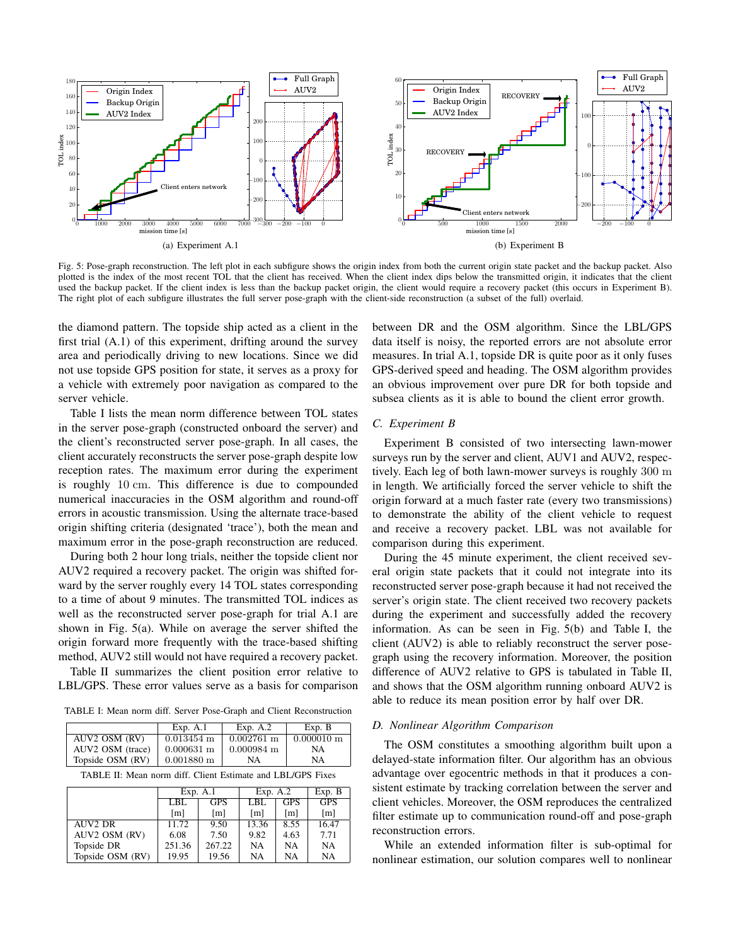

Fig. 5: Pose-graph reconstruction. The left plot in each subfigure shows the origin index from both the current origin state packet and the backup packet. Also plotted is the index of the most recent TOL that the client has received. When the client index dips below the transmitted origin, it indicates that the client used the backup packet. If the client index is less than the backup packet origin, the client would require a recovery packet (this occurs in Experiment B). The right plot of each subfigure illustrates the full server pose-graph with the client-side reconstruction (a subset of the full) overlaid.

the diamond pattern. The topside ship acted as a client in the first trial (A.1) of this experiment, drifting around the survey area and periodically driving to new locations. Since we did not use topside GPS position for state, it serves as a proxy for a vehicle with extremely poor navigation as compared to the server vehicle.

Table I lists the mean norm difference between TOL states in the server pose-graph (constructed onboard the server) and the client's reconstructed server pose-graph. In all cases, the client accurately reconstructs the server pose-graph despite low reception rates. The maximum error during the experiment is roughly 10 cm. This difference is due to compounded numerical inaccuracies in the OSM algorithm and round-off errors in acoustic transmission. Using the alternate trace-based origin shifting criteria (designated 'trace'), both the mean and maximum error in the pose-graph reconstruction are reduced.

During both 2 hour long trials, neither the topside client nor AUV2 required a recovery packet. The origin was shifted forward by the server roughly every 14 TOL states corresponding to a time of about 9 minutes. The transmitted TOL indices as well as the reconstructed server pose-graph for trial A.1 are shown in Fig. 5(a). While on average the server shifted the origin forward more frequently with the trace-based shifting method, AUV2 still would not have required a recovery packet.

Table II summarizes the client position error relative to LBL/GPS. These error values serve as a basis for comparison

TABLE I: Mean norm diff. Server Pose-Graph and Client Reconstruction

|                  | Exp. A.1                 | Exp. $A.2$               | Exp. B                   |
|------------------|--------------------------|--------------------------|--------------------------|
| AUV2 OSM (RV)    | $0.013454$ m             | $0.002761 \text{ m}$     | $0.000010 \; \mathrm{m}$ |
| AUV2 OSM (trace) | $0.000631 \; \mathrm{m}$ | $0.000984 \; \mathrm{m}$ | NΑ                       |
| Topside OSM (RV) | $0.001880 \; \mathrm{m}$ | NA                       | NΑ                       |

TABLE II: Mean norm diff. Client Estimate and LBL/GPS Fixes

|                     | Exp. A.1          |                   | Exp. A.2          |                   | Exp. B            |
|---------------------|-------------------|-------------------|-------------------|-------------------|-------------------|
|                     | LBL               | <b>GPS</b>        | LBL               | <b>GPS</b>        | <b>GPS</b>        |
|                     | $\lceil m \rceil$ | $\lceil m \rceil$ | $\lceil m \rceil$ | $\lceil m \rceil$ | $\lceil m \rceil$ |
| AUV <sub>2</sub> DR | 11.72             | 9.50              | 13.36             | 8.55              | 16.47             |
| AUV2 OSM (RV)       | 6.08              | 7.50              | 9.82              | 4.63              | 7.71              |
| Topside DR          | 251.36            | 267.22            | NA                | NA                | NA                |
| Topside OSM (RV)    | 19.95             | 19.56             | NA                | NA                | NA                |

between DR and the OSM algorithm. Since the LBL/GPS data itself is noisy, the reported errors are not absolute error measures. In trial A.1, topside DR is quite poor as it only fuses GPS-derived speed and heading. The OSM algorithm provides an obvious improvement over pure DR for both topside and subsea clients as it is able to bound the client error growth.

#### *C. Experiment B*

Experiment B consisted of two intersecting lawn-mower surveys run by the server and client, AUV1 and AUV2, respectively. Each leg of both lawn-mower surveys is roughly 300 m in length. We artificially forced the server vehicle to shift the origin forward at a much faster rate (every two transmissions) to demonstrate the ability of the client vehicle to request and receive a recovery packet. LBL was not available for comparison during this experiment.

During the 45 minute experiment, the client received several origin state packets that it could not integrate into its reconstructed server pose-graph because it had not received the server's origin state. The client received two recovery packets during the experiment and successfully added the recovery information. As can be seen in Fig. 5(b) and Table I, the client (AUV2) is able to reliably reconstruct the server posegraph using the recovery information. Moreover, the position difference of AUV2 relative to GPS is tabulated in Table II, and shows that the OSM algorithm running onboard AUV2 is able to reduce its mean position error by half over DR.

### *D. Nonlinear Algorithm Comparison*

The OSM constitutes a smoothing algorithm built upon a delayed-state information filter. Our algorithm has an obvious advantage over egocentric methods in that it produces a consistent estimate by tracking correlation between the server and client vehicles. Moreover, the OSM reproduces the centralized filter estimate up to communication round-off and pose-graph reconstruction errors.

While an extended information filter is sub-optimal for nonlinear estimation, our solution compares well to nonlinear